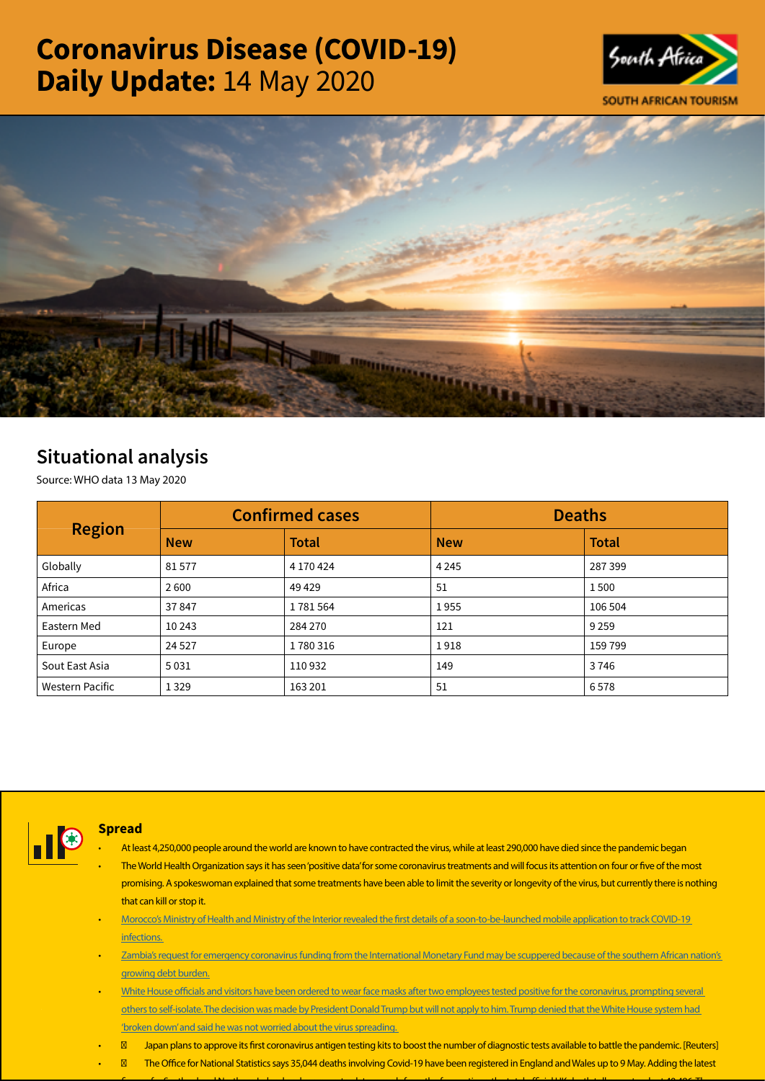# Coronavirus Disease (COVID-19) Daily Update: 14 May 2020





## Situational analysis

Source: WHO data 13 May 2020

| <b>Region</b>   |            | <b>Confirmed cases</b> | <b>Deaths</b> |              |  |
|-----------------|------------|------------------------|---------------|--------------|--|
|                 | <b>New</b> | <b>Total</b>           | <b>New</b>    | <b>Total</b> |  |
| Globally        | 81577      | 4 170 424              | 4 2 4 5       | 287 399      |  |
| Africa          | 2600       | 49429                  | 51            | 1500         |  |
| Americas        | 37847      | 1781564                | 1955          | 106 504      |  |
| Eastern Med     | 10 24 3    | 284 270                | 121           | 9 2 5 9      |  |
| Europe          | 24 5 27    | 1780316                | 1918          | 159 799      |  |
| Sout East Asia  | 5031       | 110932                 | 149           | 3746         |  |
| Western Pacific | 1 3 2 9    | 163 201                | 51            | 6578         |  |



### Spread

- At least 4,250,000 people around the world are known to have contracted the virus, while at least 290,000 have died since the pandemic began
- The World Health Organization says it has seen 'positive data' for some coronavirus treatments and will focus its attention on four or five of the most promising. A spokeswoman explained that some treatments have been able to limit the severity or longevity of the virus, but currently there is nothing that can kill or stop it.
- [Morocco's Ministry of Health and Ministry of the Interior revealed the first details of a soon-to-be-launched mobile application to track COVID-19](https://urldefense.proofpoint.com/v2/url?u=https-3A__www.moroccoworldnews.com_2020_05_302325_morocco-2Dreveals-2Dwiqaytna-2Dapplication-2Dfor-2Dcovid-2D19-2Dtracking_&d=DwMFaQ&c=9wxE0DgWbPxd1HCzjwN8Eaww1--ViDajIU4RXCxgSXE&r=yzHEvaMauYW-i_126uTfVmm6zZUDcU0q8rR4kRum7rc&m=O16nF112LhBw8iWhDJIFHvFX80-_TYePrl3OziDqhMA&s=nd0FHyIPmPDDjzVJf2Rb8A6P05slCXooQfxr_UNKOUI&e=)  [infections.](https://urldefense.proofpoint.com/v2/url?u=https-3A__www.moroccoworldnews.com_2020_05_302325_morocco-2Dreveals-2Dwiqaytna-2Dapplication-2Dfor-2Dcovid-2D19-2Dtracking_&d=DwMFaQ&c=9wxE0DgWbPxd1HCzjwN8Eaww1--ViDajIU4RXCxgSXE&r=yzHEvaMauYW-i_126uTfVmm6zZUDcU0q8rR4kRum7rc&m=O16nF112LhBw8iWhDJIFHvFX80-_TYePrl3OziDqhMA&s=nd0FHyIPmPDDjzVJf2Rb8A6P05slCXooQfxr_UNKOUI&e=)
- [Zambia's request for emergency coronavirus funding from the International Monetary Fund may be scuppered because of the southern African nation's](https://urldefense.proofpoint.com/v2/url?u=https-3A__www.bloomberg.com_news_articles_2020-2D05-2D12_zambia-2Ds-2Ddebt-2Dburden-2Dhinders-2Daccess-2Dto-2Dimf-2Dcoronavirus-2Dfunds&d=DwMFaQ&c=9wxE0DgWbPxd1HCzjwN8Eaww1--ViDajIU4RXCxgSXE&r=yzHEvaMauYW-i_126uTfVmm6zZUDcU0q8rR4kRum7rc&m=O16nF112LhBw8iWhDJIFHvFX80-_TYePrl3OziDqhMA&s=7BsmMBuH6rjpsOHwNbhf8oKlRGxWUPcNzBc47xGk7bE&e=)  [growing debt burden.](https://urldefense.proofpoint.com/v2/url?u=https-3A__www.bloomberg.com_news_articles_2020-2D05-2D12_zambia-2Ds-2Ddebt-2Dburden-2Dhinders-2Daccess-2Dto-2Dimf-2Dcoronavirus-2Dfunds&d=DwMFaQ&c=9wxE0DgWbPxd1HCzjwN8Eaww1--ViDajIU4RXCxgSXE&r=yzHEvaMauYW-i_126uTfVmm6zZUDcU0q8rR4kRum7rc&m=O16nF112LhBw8iWhDJIFHvFX80-_TYePrl3OziDqhMA&s=7BsmMBuH6rjpsOHwNbhf8oKlRGxWUPcNzBc47xGk7bE&e=)
- [White House officials and visitors have been ordered to wear face masks after two employees tested positive for the coronavirus, prompting several](https://www.ft.com/content/15d29a36-5b5b-413e-9945-5c2900098efd?utm_campaign=60399_Covid-19%20news%20report%20-%20May%2013%202020&utm_medium=Email&utm_source=UK_Media_Dotmailer&dm_i=61YZ,1ALR,JH2IF,4QAD,1)  [others to self-isolate. The decision was made by President Donald Trump but will not apply to him. Trump denied that the White House system had](https://www.ft.com/content/15d29a36-5b5b-413e-9945-5c2900098efd?utm_campaign=60399_Covid-19%20news%20report%20-%20May%2013%202020&utm_medium=Email&utm_source=UK_Media_Dotmailer&dm_i=61YZ,1ALR,JH2IF,4QAD,1)  ['broken down' and said he was not worried about the virus spreading.](https://www.ft.com/content/15d29a36-5b5b-413e-9945-5c2900098efd?utm_campaign=60399_Covid-19%20news%20report%20-%20May%2013%202020&utm_medium=Email&utm_source=UK_Media_Dotmailer&dm_i=61YZ,1ALR,JH2IF,4QAD,1)
- Japan plans to approve its first coronavirus antigen testing kits to boost the number of diagnostic tests available to battle the pandemic. [Reuters]
- The Office for National Statistics says 35,044 deaths involving Covid-19 have been registered in England and Wales up to 9 May. Adding the latest

 $f_{\rm{m}}$  ,  $f_{\rm{m}}$  ,  $f_{\rm{m}}$  ,  $f_{\rm{m}}$  , the total official of total official of total of total of total of total of the total  $f_{\rm{m}}$  , the total norm to tal  $\sim$  40,496. There is 40,496. There is 40,496. There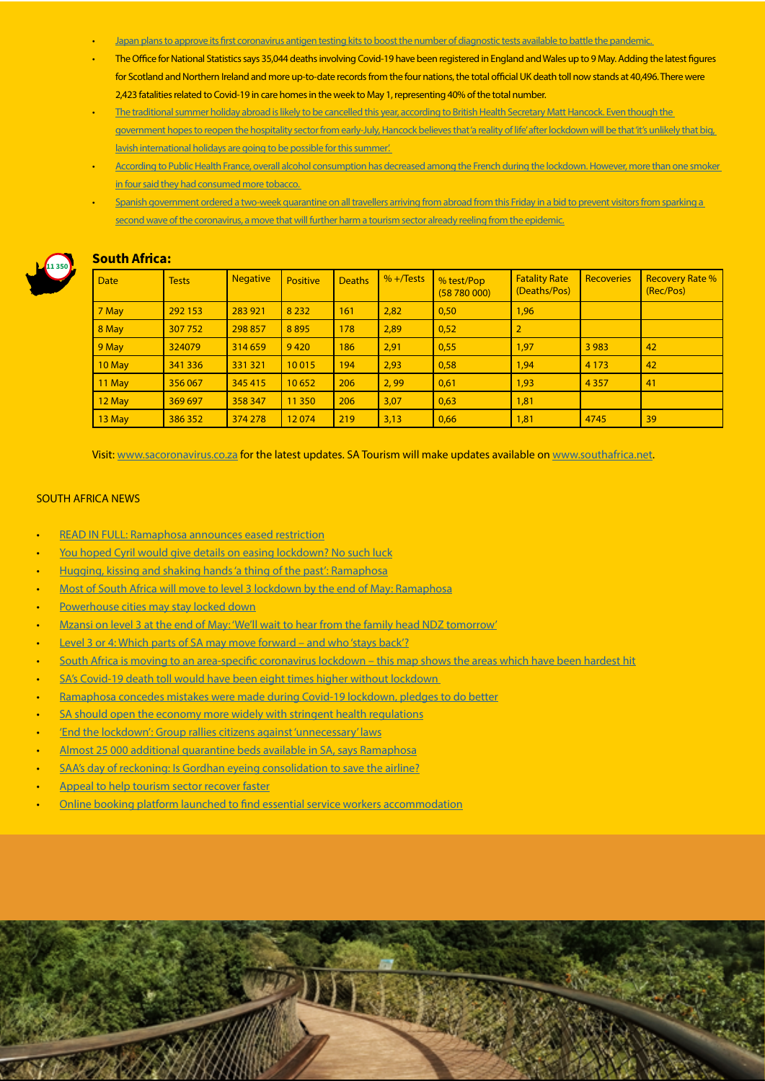- [Japan plans to approve its first coronavirus antigen testing kits to boost the number of diagnostic tests available to battle the pandemic.](https://urldefense.proofpoint.com/v2/url?u=https-3A__uk.reuters.com_article_uk-2Dhealth-2Dcoronavirus-2Djapan-2Dantigen_japan-2Dto-2Dapprove-2Dfirst-2Dcoronavirus-2Dantigen-2Dtest-2Dkits-2Don-2Dwednesday-2DidUKKBN22O07N&d=DwMFaQ&c=9wxE0DgWbPxd1HCzjwN8Eaww1--ViDajIU4RXCxgSXE&r=yzHEvaMauYW-i_126uTfVmm6zZUDcU0q8rR4kRum7rc&m=O16nF112LhBw8iWhDJIFHvFX80-_TYePrl3OziDqhMA&s=yXoqYOzEgZbXuIh26Qo7XpwkdD96zrErgfCSEJlcWIM&e=)
- The Office for National Statistics says 35,044 deaths involving Covid-19 have been registered in England and Wales up to 9 May. Adding the latest figures for Scotland and Northern Ireland and more up-to-date records from the four nations, the total official UK death toll now stands at 40,496. There were 2,423 fatalities related to Covid-19 in care homes in the week to May 1, representing 40% of the total number.
- The traditional summer holiday abroad is likely to be cancelled this year, according to British Health Secretary Matt Hancock. Even though the government hopes to reopen the hospitality sector from early-July, Hancock believes that 'a reality of life' after lockdown will be that 'it's unlikely that big, [lavish international holidays are going to be possible for this summer'.](https://urldefense.proofpoint.com/v2/url?u=https-3A__www.theguardian.com_world_2020_may_12_matt-2Dhancock-2Dtries-2Dto-2Dclear-2Dup-2Dconfusion-2Dover-2Dcoronavirus-2Dadvice-3Futm-5Fcampaign-3D60399-5FCovid-2D19-2520news-2520report-2520-2D-2520May-252013-25202020-26utm-5Fmedium-3DEmail-26utm-5Fsource-3DUK-5FMedia-5FDotmailer-26dm-5Fi-3D61YZ-2C1ALR-2CJH2IF-2C4QAB-2C1&d=DwMFaQ&c=9wxE0DgWbPxd1HCzjwN8Eaww1--ViDajIU4RXCxgSXE&r=yzHEvaMauYW-i_126uTfVmm6zZUDcU0q8rR4kRum7rc&m=O16nF112LhBw8iWhDJIFHvFX80-_TYePrl3OziDqhMA&s=_kyr7Rh0olj3Pk7lCEI54W5GDb_fgChmYi76-AknJCo&e=)
- [According to Public Health France, overall alcohol consumption has decreased among the French during the lockdown. However, more than one smoker](https://urldefense.proofpoint.com/v2/url?u=https-3A__www.lesechos.fr_economie-2Dfrance_social_coronavirus-2Dla-2Dconsommation-2Dde-2Dtabac-2Det-2Ddalcool-2Da-2Dt-2Delle-2Daugmente-2Dpendant-2Dle-2Dconfinement-2D1202433&d=DwMFaQ&c=9wxE0DgWbPxd1HCzjwN8Eaww1--ViDajIU4RXCxgSXE&r=yzHEvaMauYW-i_126uTfVmm6zZUDcU0q8rR4kRum7rc&m=O16nF112LhBw8iWhDJIFHvFX80-_TYePrl3OziDqhMA&s=3Ls2ZZ86JyUI3snpwre9PEixsGFVGSvyYEiAcfOYhWw&e=)  [in four said they had consumed more tobacco.](https://urldefense.proofpoint.com/v2/url?u=https-3A__www.lesechos.fr_economie-2Dfrance_social_coronavirus-2Dla-2Dconsommation-2Dde-2Dtabac-2Det-2Ddalcool-2Da-2Dt-2Delle-2Daugmente-2Dpendant-2Dle-2Dconfinement-2D1202433&d=DwMFaQ&c=9wxE0DgWbPxd1HCzjwN8Eaww1--ViDajIU4RXCxgSXE&r=yzHEvaMauYW-i_126uTfVmm6zZUDcU0q8rR4kRum7rc&m=O16nF112LhBw8iWhDJIFHvFX80-_TYePrl3OziDqhMA&s=3Ls2ZZ86JyUI3snpwre9PEixsGFVGSvyYEiAcfOYhWw&e=)
- [Spanish government ordered a two-week quarantine on all travellers arriving from abroad from this Friday in a bid to prevent visitors from sparking a](https://urldefense.proofpoint.com/v2/url?u=https-3A__www.reuters.com_article_us-2Dhealth-2Dcoronavirus-2Dspain_spain-2Dorders-2Dtwo-2Dweek-2Dquarantine-2Dfor-2Dincoming-2Dtravellers-2Dfrom-2Dfriday-2DidUSKBN22O0W0&d=DwMFaQ&c=9wxE0DgWbPxd1HCzjwN8Eaww1--ViDajIU4RXCxgSXE&r=yzHEvaMauYW-i_126uTfVmm6zZUDcU0q8rR4kRum7rc&m=O16nF112LhBw8iWhDJIFHvFX80-_TYePrl3OziDqhMA&s=NNkZcVDaw_ky0j55LMlyhriilw_XCfh6OT-w7tzZJ0Y&e=)  [second wave of the coronavirus, a move that will further harm a tourism sector already reeling from the epidemic.](https://urldefense.proofpoint.com/v2/url?u=https-3A__www.reuters.com_article_us-2Dhealth-2Dcoronavirus-2Dspain_spain-2Dorders-2Dtwo-2Dweek-2Dquarantine-2Dfor-2Dincoming-2Dtravellers-2Dfrom-2Dfriday-2DidUSKBN22O0W0&d=DwMFaQ&c=9wxE0DgWbPxd1HCzjwN8Eaww1--ViDajIU4RXCxgSXE&r=yzHEvaMauYW-i_126uTfVmm6zZUDcU0q8rR4kRum7rc&m=O16nF112LhBw8iWhDJIFHvFX80-_TYePrl3OziDqhMA&s=NNkZcVDaw_ky0j55LMlyhriilw_XCfh6OT-w7tzZJ0Y&e=)



| <b>Date</b> | <b>Tests</b> | <b>Negative</b> | <b>Positive</b> | <b>Deaths</b> | $% +$ Tests | % test/Pop<br>(58780000) | <b>Fatality Rate</b><br>(Deaths/Pos) | Recoveries | <b>Recovery Rate %</b><br>(Rec/Pos) |  |  |
|-------------|--------------|-----------------|-----------------|---------------|-------------|--------------------------|--------------------------------------|------------|-------------------------------------|--|--|
| 7 May       | 292 153      | 283 921         | 8 2 3 2         | 161           | 2,82        | 0,50                     | 1,96                                 |            |                                     |  |  |
| 8 May       | 307 752      | 298 857         | 8895            | 178           | 2,89        | 0,52                     | $\overline{2}$                       |            |                                     |  |  |
| 9 May       | 324079       | 314 659         | 9420            | 186           | 2,91        | 0,55                     | 1,97                                 | 3 9 8 3    | 42                                  |  |  |
| 10 May      | 341 336      | 331 321         | 10015           | 194           | 2,93        | 0,58                     | 1,94                                 | 4 1 7 3    | 42                                  |  |  |
| 11 May      | 356 067      | 345 415         | 10652           | 206           | 2,99        | 0,61                     | 1,93                                 | 4 3 5 7    | 41                                  |  |  |
| 12 May      | 369 697      | 358 347         | 11 350          | 206           | 3,07        | 0,63                     | 1,81                                 |            |                                     |  |  |
| 13 May      | 386 352      | 374 278         | 12074           | 219           | 3,13        | 0,66                     | 1,81                                 | 4745       | 39                                  |  |  |

Visit: [www.sacoronavirus.co.za](http://www.sacoronavirus.co.za) for the latest updates. SA Tourism will make updates available on [www.southafrica.net.](http://www.southafrica.net)

#### SOUTH AFRICA NEWS

- [READ IN FULL: Ramaphosa announces eased restriction](https://www.businesslive.co.za/bd/national/2020-05-13-read-in-full-ramaphosa-announces-eased-restrictions/)
- [You hoped Cyril would give details on easing lockdown? No such luck](https://select.timeslive.co.za/news/2020-05-14-you-hoped-cyril-would-give-details-on-easing-lockdown-no-such-luck/)
- Hugging, kissing and shaking hands 'a thing of the past': Ramaphosa
- [Most of South Africa will move to level 3 lockdown by the end of May: Ramaphosa](https://businesstech.co.za/news/government/397693/most-of-south-africa-will-move-to-level-3-lockdown-by-the-end-of-may-ramaphosa/)
- [Powerhouse cities may stay locked down](https://www.businesslive.co.za/bd/national/2020-05-13-powerhouse-cities-may-stay-locked-down/)

South Africa:

- [Mzansi on level 3 at the end of May: 'We'll wait to hear from the family head NDZ tomorrow'](https://www.timeslive.co.za/news/south-africa/2020-05-13-mzansi-on-level-3-at-the-end-of-may-well-wait-to-hear-from-the-family-head-ndz-tomorrow/)
- [Level 3 or 4: Which parts of SA may move forward and who 'stays back'?](https://www.thesouthafrican.com/news/who-in-level-3-where-may-stay-level-4-lockdown-why-ramaphosa/)
- [South Africa is moving to an area-specific coronavirus lockdown this map shows the areas which have been hardest hit](https://businesstech.co.za/news/trending/397735/south-africa-is-moving-to-an-area-specific-coronavirus-lockdown-this-map-shows-the-areas-which-have-been-hardest-hit/)
- SA's Covid-19 death toll would have been eight times higher without lockdown
- [Ramaphosa concedes mistakes were made during Covid-19 lockdown, pledges to do better](https://www.news24.com/SouthAfrica/News/ramaphosa-concedes-mistakes-were-made-during-covid-19-lockdown-pledges-to-do-better-20200514)
- [SA should open the economy more widely with stringent health regulations](https://www.iol.co.za/business-report/economy/sa-should-open-the-economy-more-widely-with-stringent-health-regulations-47906982)
- ['End the lockdown': Group rallies citizens against 'unnecessary' laws](https://www.thesouthafrican.com/news/end-the-lockdown-protest-2020/)
- [Almost 25 000 additional quarantine beds available in SA, says Ramaphosa](https://www.iol.co.za/news/politics/almost-25-000-additional-quarantine-beds-available-in-sa-says-ramaphosa-47918932)
- [SAA's day of reckoning: Is Gordhan eyeing consolidation to save the airline?](https://www.fin24.com/Companies/Industrial/saas-day-of-reckoning-is-gordhan-eyeing-consolidation-to-save-the-airline-20200514-2)
- [Appeal to help tourism sector recover faster](http://www.tourismupdate.co.za/article/199436/Appeal-to-help-tourism-sector-recover-faster)
- [Online booking platform launched to find essential service workers accommodation](https://www.iol.co.za/travel/travel-news/online-booking-platform-launched-to-find-essential-service-workers-accommodation-47879020)